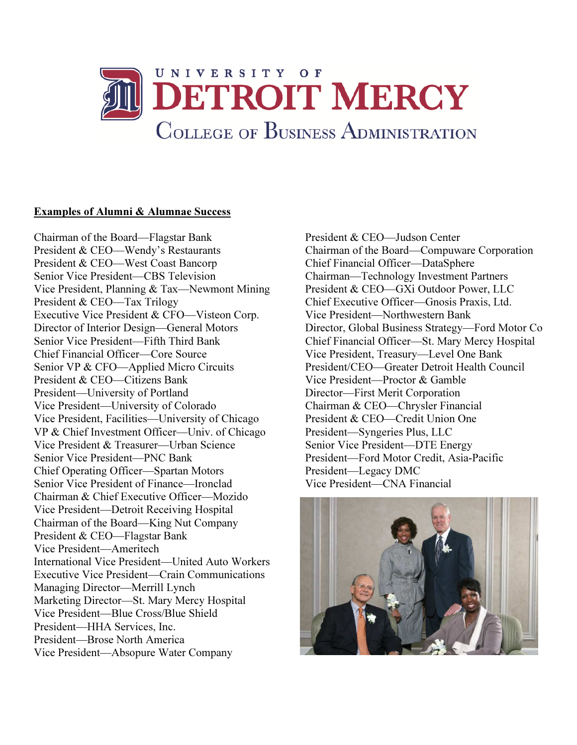

## Examples of Alumni & Alumnae Success

 Chairman of the Board—Flagstar Bank Director of Interior Design—General Motors Vice President—Detroit Receiving Hospital Managing Director—Merrill Lynch President & CEO—Wendy's Restaurants President & CEO—West Coast Bancorp Senior Vice President—CBS Television Vice President, Planning & Tax—Newmont Mining President & CEO—Tax Trilogy Executive Vice President & CFO—Visteon Corp. Senior Vice President—Fifth Third Bank Chief Financial Officer—Core Source Senior VP & CFO—Applied Micro Circuits President & CEO—Citizens Bank President—University of Portland Vice President—University of Colorado Vice President, Facilities—University of Chicago VP & Chief Investment Officer—Univ. of Chicago Vice President & Treasurer—Urban Science Senior Vice President—PNC Bank Chief Operating Officer—Spartan Motors Senior Vice President of Finance—Ironclad Chairman & Chief Executive Officer—Mozido Chairman of the Board—King Nut Company President & CEO—Flagstar Bank Vice President—Ameritech International Vice President—United Auto Workers Executive Vice President—Crain Communications Marketing Director—St. Mary Mercy Hospital Vice President—Blue Cross/Blue Shield President—HHA Services, Inc. President—Brose North America Vice President—Absopure Water Company

 Director, Global Business Strategy—Ford Motor Co Vice President, Treasury—Level One Bank Vice President—Proctor & Gamble President—Legacy DMC Vice President—CNA Financial President & CEO—Judson Center Chairman of the Board—Compuware Corporation Chief Financial Officer—DataSphere Chairman—Technology Investment Partners President & CEO—GXi Outdoor Power, LLC Chief Executive Officer—Gnosis Praxis, Ltd. Vice President—Northwestern Bank Chief Financial Officer—St. Mary Mercy Hospital President/CEO—Greater Detroit Health Council Director—First Merit Corporation Chairman & CEO—Chrysler Financial President & CEO—Credit Union One President—Syngeries Plus, LLC Senior Vice President—DTE Energy President—Ford Motor Credit, Asia-Pacific